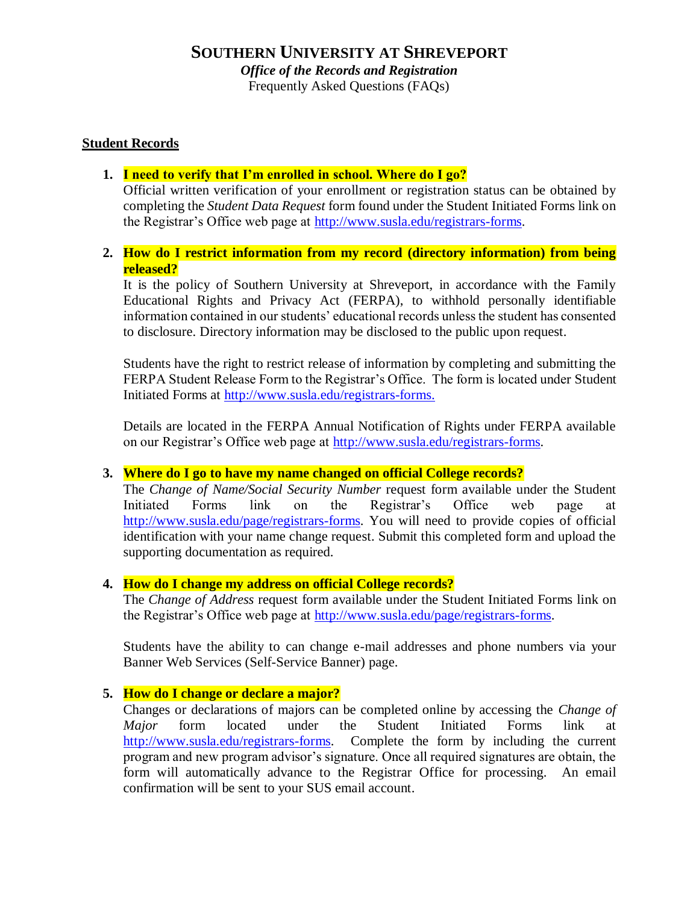Frequently Asked Questions (FAQs)

# **Student Records**

# **1. I need to verify that I'm enrolled in school. Where do I go?**

Official written verification of your enrollment or registration status can be obtained by completing the *Student Data Request* form found under the Student Initiated Forms link on the Registrar's Office web page at [http://www.susla.edu/registrars-forms.](http://www.susla.edu/registrars-forms)

# **2. How do I restrict information from my record (directory information) from being released?**

It is the policy of Southern University at Shreveport, in accordance with the Family Educational Rights and Privacy Act (FERPA), to withhold personally identifiable information contained in our students' educational records unless the student has consented to disclosure. Directory information may be disclosed to the public upon request.

Students have the right to restrict release of information by completing and submitting the FERPA Student Release Form to the Registrar's Office. The form is located under Student Initiated Forms at [http://www.susla.edu/registrars-forms.](http://www.susla.edu/registrars-forms)

Details are located in the FERPA Annual Notification of Rights under FERPA available on our Registrar's Office web page at [http://www.susla.edu/registrars-forms.](http://www.susla.edu/registrars-forms)

### **3. Where do I go to have my name changed on official College records?**

The *Change of Name/Social Security Number* request form available under the Student Initiated Forms link on the Registrar's Office web page at [http://www.susla.edu/page/registrars-forms.](http://www.susla.edu/page/registrars-forms) You will need to provide copies of official identification with your name change request. Submit this completed form and upload the supporting documentation as required.

### **4. How do I change my address on official College records?**

The *Change of Address* request form available under the Student Initiated Forms link on the Registrar's Office web page at [http://www.susla.edu/page/registrars-forms.](http://www.susla.edu/page/registrars-forms)

Students have the ability to can change e-mail addresses and phone numbers via your Banner Web Services (Self-Service Banner) page.

### **5. How do I change or declare a major?**

Changes or declarations of majors can be completed online by accessing the *Change of Major* form located under the Student Initiated Forms link at [http://www.susla.edu/registrars-forms.](http://www.susla.edu/registrars-forms) Complete the form by including the current program and new program advisor's signature. Once all required signatures are obtain, the form will automatically advance to the Registrar Office for processing. An email confirmation will be sent to your SUS email account.